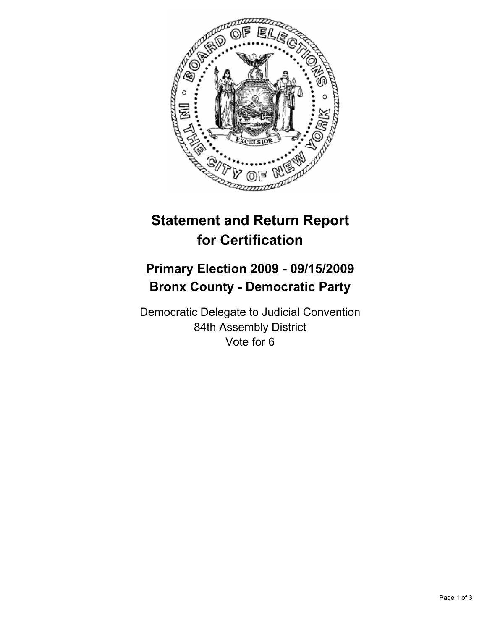

## **Statement and Return Report for Certification**

## **Primary Election 2009 - 09/15/2009 Bronx County - Democratic Party**

Democratic Delegate to Judicial Convention 84th Assembly District Vote for 6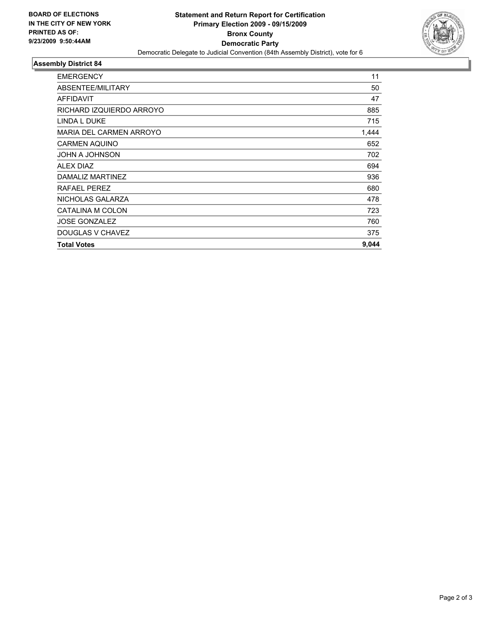

## **Assembly District 84**

| <b>EMERGENCY</b>         | 11    |
|--------------------------|-------|
| ABSENTEE/MILITARY        | 50    |
| <b>AFFIDAVIT</b>         | 47    |
| RICHARD IZQUIERDO ARROYO | 885   |
| <b>LINDA L DUKE</b>      | 715   |
| MARIA DEL CARMEN ARROYO  | 1,444 |
| <b>CARMEN AQUINO</b>     | 652   |
| JOHN A JOHNSON           | 702   |
| ALEX DIAZ                | 694   |
| DAMALIZ MARTINEZ         | 936   |
| RAFAEL PEREZ             | 680   |
| NICHOLAS GALARZA         | 478   |
| CATALINA M COLON         | 723   |
| <b>JOSE GONZALEZ</b>     | 760   |
| DOUGLAS V CHAVEZ         | 375   |
| <b>Total Votes</b>       | 9,044 |